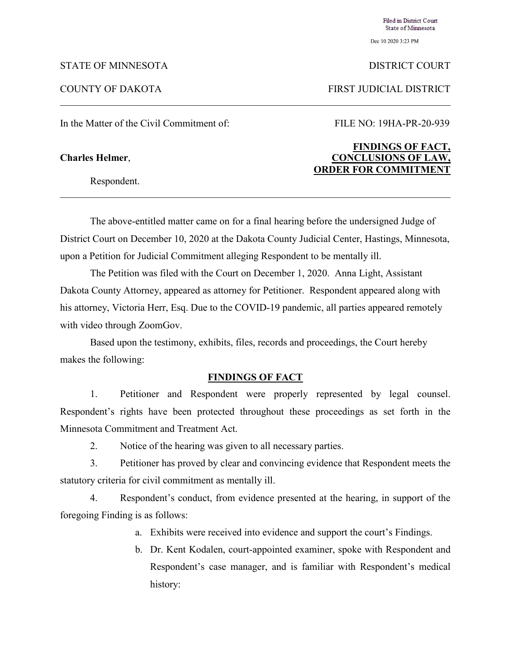Dec 10 2020 3:23 PM

## STATE OF MINNESOTA DISTRICT COURT

Filed in District Court State of Minnesota

COUNTY OF DAKOTA FIRST JUDICIAL DISTRICT

In the Matter of the Civil Commitment of: FILE NO: 19HA-PR-20-939

Respondent.

The above-entitled matter came on for a final hearing before the undersigned Judge of District Court on December 10, 2020 at the Dakota County Judicial Center, Hastings, Minnesota, upon a Petition for Judicial Commitment alleging Respondent to be mentally ill.

The Petition was filed with the Court on December 1, 2020. Anna Light, Assistant Dakota County Attorney, appeared as attorney for Petitioner. Respondent appeared along with his attorney, Victoria Herr, Esq. Due to the COVID-19 pandemic, all parties appeared remotely with video through ZoomGov.

Based upon the testimony, exhibits, files, records and proceedings, the Court hereby makes the following:

### **FINDINGS OF FACT**

1. Petitioner and Respondent were properly represented by legal counsel. Respondent's rights have been protected throughout these proceedings as set forth in the Minnesota Commitment and Treatment Act.

2. Notice of the hearing was given to all necessary parties.

3. Petitioner has proved by clear and convincing evidence that Respondent meets the statutory criteria for civil commitment as mentally ill.

4. Respondent's conduct, from evidence presented at the hearing, in support of the foregoing Finding is as follows:

- a. Exhibits were received into evidence and support the court's Findings.
- b. Dr. Kent Kodalen, court-appointed examiner, spoke with Respondent and Respondent's case manager, and is familiar with Respondent's medical history:

# **FINDINGS OF FACT, Charles Helmer**, **CONCLUSIONS OF LAW, ORDER FOR COMMITMENT**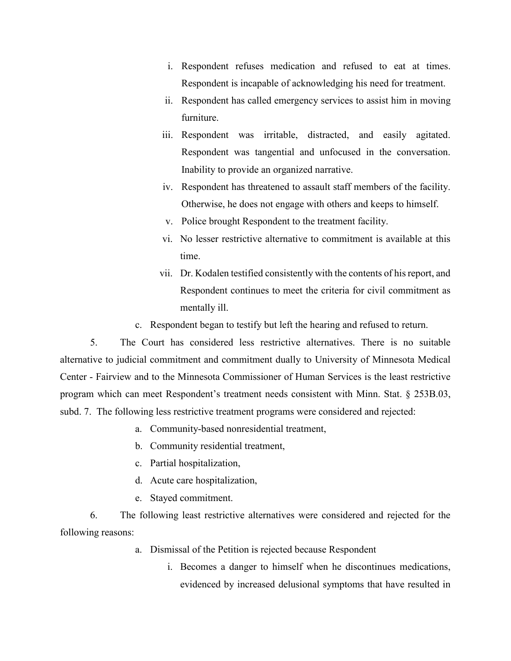- i. Respondent refuses medication and refused to eat at times. Respondent is incapable of acknowledging his need for treatment.
- ii. Respondent has called emergency services to assist him in moving furniture.
- iii. Respondent was irritable, distracted, and easily agitated. Respondent was tangential and unfocused in the conversation. Inability to provide an organized narrative.
- iv. Respondent has threatened to assault staff members of the facility. Otherwise, he does not engage with others and keeps to himself.
- v. Police brought Respondent to the treatment facility.
- vi. No lesser restrictive alternative to commitment is available at this time.
- vii. Dr. Kodalen testified consistently with the contents of his report, and Respondent continues to meet the criteria for civil commitment as mentally ill.
- c. Respondent began to testify but left the hearing and refused to return.

5. The Court has considered less restrictive alternatives. There is no suitable alternative to judicial commitment and commitment dually to University of Minnesota Medical Center - Fairview and to the Minnesota Commissioner of Human Services is the least restrictive program which can meet Respondent's treatment needs consistent with Minn. Stat. § 253B.03, subd. 7. The following less restrictive treatment programs were considered and rejected:

- a. Community-based nonresidential treatment,
- b. Community residential treatment,
- c. Partial hospitalization,
- d. Acute care hospitalization,
- e. Stayed commitment.

6. The following least restrictive alternatives were considered and rejected for the following reasons:

- a. Dismissal of the Petition is rejected because Respondent
	- i. Becomes a danger to himself when he discontinues medications, evidenced by increased delusional symptoms that have resulted in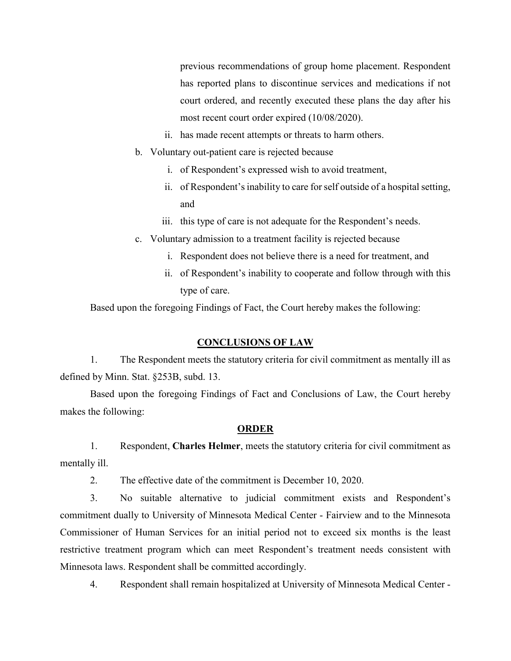previous recommendations of group home placement. Respondent has reported plans to discontinue services and medications if not court ordered, and recently executed these plans the day after his most recent court order expired (10/08/2020).

- ii. has made recent attempts or threats to harm others.
- b. Voluntary out-patient care is rejected because
	- i. of Respondent's expressed wish to avoid treatment,
	- ii. of Respondent's inability to care for self outside of a hospital setting, and
	- iii. this type of care is not adequate for the Respondent's needs.
- c. Voluntary admission to a treatment facility is rejected because
	- i. Respondent does not believe there is a need for treatment, and
	- ii. of Respondent's inability to cooperate and follow through with this type of care.

Based upon the foregoing Findings of Fact, the Court hereby makes the following:

## **CONCLUSIONS OF LAW**

1. The Respondent meets the statutory criteria for civil commitment as mentally ill as defined by Minn. Stat. §253B, subd. 13.

Based upon the foregoing Findings of Fact and Conclusions of Law, the Court hereby makes the following:

## **ORDER**

1. Respondent, **Charles Helmer**, meets the statutory criteria for civil commitment as mentally ill.

2. The effective date of the commitment is December 10, 2020.

3. No suitable alternative to judicial commitment exists and Respondent's commitment dually to University of Minnesota Medical Center - Fairview and to the Minnesota Commissioner of Human Services for an initial period not to exceed six months is the least restrictive treatment program which can meet Respondent's treatment needs consistent with Minnesota laws. Respondent shall be committed accordingly.

4. Respondent shall remain hospitalized at University of Minnesota Medical Center -